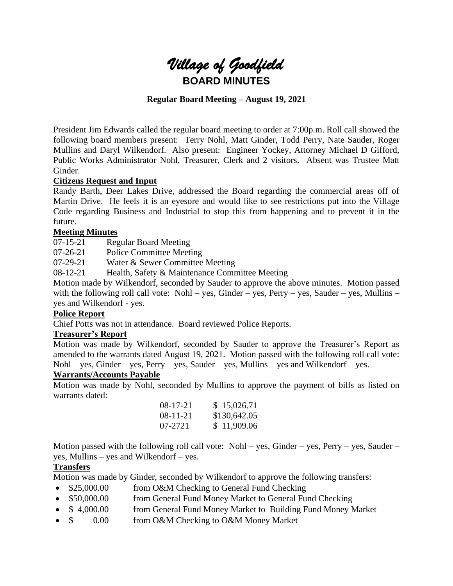

# **Regular Board Meeting – August 19, 2021**

President Jim Edwards called the regular board meeting to order at 7:00p.m. Roll call showed the following board members present: Terry Nohl, Matt Ginder, Todd Perry, Nate Sauder, Roger Mullins and Daryl Wilkendorf. Also present: Engineer Yockey, Attorney Michael D Gifford, Public Works Administrator Nohl, Treasurer, Clerk and 2 visitors. Absent was Trustee Matt Ginder.

## **Citizens Request and Input**

Randy Barth, Deer Lakes Drive, addressed the Board regarding the commercial areas off of Martin Drive. He feels it is an eyesore and would like to see restrictions put into the Village Code regarding Business and Industrial to stop this from happening and to prevent it in the future.

## **Meeting Minutes**

07-15-21 Regular Board Meeting

07-26-21 Police Committee Meeting

07-29-21 Water & Sewer Committee Meeting

08-12-21 Health, Safety & Maintenance Committee Meeting

Motion made by Wilkendorf, seconded by Sauder to approve the above minutes. Motion passed with the following roll call vote: Nohl – yes, Ginder – yes, Perry – yes, Sauder – yes, Mullins – yes and Wilkendorf - yes.

#### **Police Report**

Chief Potts was not in attendance. Board reviewed Police Reports.

## **Treasurer's Report**

Motion was made by Wilkendorf, seconded by Sauder to approve the Treasurer's Report as amended to the warrants dated August 19, 2021. Motion passed with the following roll call vote: Nohl – yes, Ginder – yes, Perry – yes, Sauder – yes, Mullins – yes and Wilkendorf – yes.

#### **Warrants/Accounts Payable**

Motion was made by Nohl, seconded by Mullins to approve the payment of bills as listed on warrants dated:

| $08-17-21$     | \$15,026.71  |
|----------------|--------------|
| $08 - 11 - 21$ | \$130,642.05 |
| 07-2721        | \$11,909.06  |

Motion passed with the following roll call vote: Nohl – yes, Ginder – yes, Perry – yes, Sauder – yes, Mullins – yes and Wilkendorf – yes.

## **Transfers**

Motion was made by Ginder, seconded by Wilkendorf to approve the following transfers:

- \$25,000.00 from O&M Checking to General Fund Checking
- \$50,000.00 from General Fund Money Market to General Fund Checking
- \$ 4,000.00 from General Fund Money Market to Building Fund Money Market
- $\sin 0.00$  from O&M Checking to O&M Money Market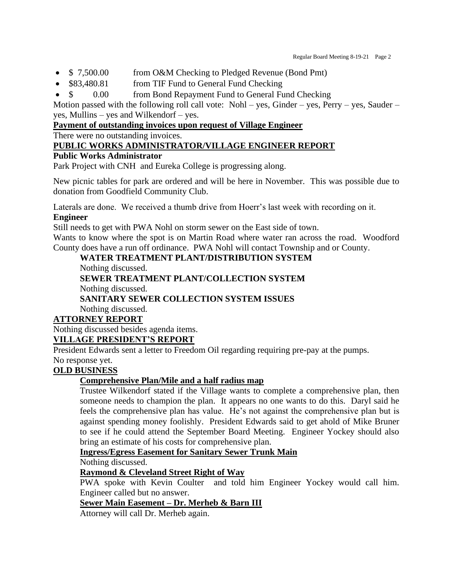- \$ 7,500.00 from O&M Checking to Pledged Revenue (Bond Pmt)
- \$83,480.81 from TIF Fund to General Fund Checking
- \$ 0.00 from Bond Repayment Fund to General Fund Checking

Motion passed with the following roll call vote: Nohl – yes, Ginder – yes, Perry – yes, Sauder – yes, Mullins – yes and Wilkendorf – yes.

# **Payment of outstanding invoices upon request of Village Engineer**

There were no outstanding invoices.

# **PUBLIC WORKS ADMINISTRATOR/VILLAGE ENGINEER REPORT**

# **Public Works Administrator**

Park Project with CNH and Eureka College is progressing along.

New picnic tables for park are ordered and will be here in November. This was possible due to donation from Goodfield Community Club.

Laterals are done. We received a thumb drive from Hoerr's last week with recording on it. **Engineer**

Still needs to get with PWA Nohl on storm sewer on the East side of town.

Wants to know where the spot is on Martin Road where water ran across the road. Woodford County does have a run off ordinance. PWA Nohl will contact Township and or County.

## **WATER TREATMENT PLANT/DISTRIBUTION SYSTEM**

Nothing discussed.

**SEWER TREATMENT PLANT/COLLECTION SYSTEM**

Nothing discussed.

# **SANITARY SEWER COLLECTION SYSTEM ISSUES**

Nothing discussed.

# **ATTORNEY REPORT**

Nothing discussed besides agenda items. **VILLAGE PRESIDENT'S REPORT**

President Edwards sent a letter to Freedom Oil regarding requiring pre-pay at the pumps. No response yet.

# **OLD BUSINESS**

# **Comprehensive Plan/Mile and a half radius map**

Trustee Wilkendorf stated if the Village wants to complete a comprehensive plan, then someone needs to champion the plan. It appears no one wants to do this. Daryl said he feels the comprehensive plan has value. He's not against the comprehensive plan but is against spending money foolishly. President Edwards said to get ahold of Mike Bruner to see if he could attend the September Board Meeting. Engineer Yockey should also bring an estimate of his costs for comprehensive plan.

## **Ingress/Egress Easement for Sanitary Sewer Trunk Main**

Nothing discussed.

## **Raymond & Cleveland Street Right of Way**

PWA spoke with Kevin Coulter and told him Engineer Yockey would call him. Engineer called but no answer.

# **Sewer Main Easement – Dr. Merheb & Barn III**

Attorney will call Dr. Merheb again.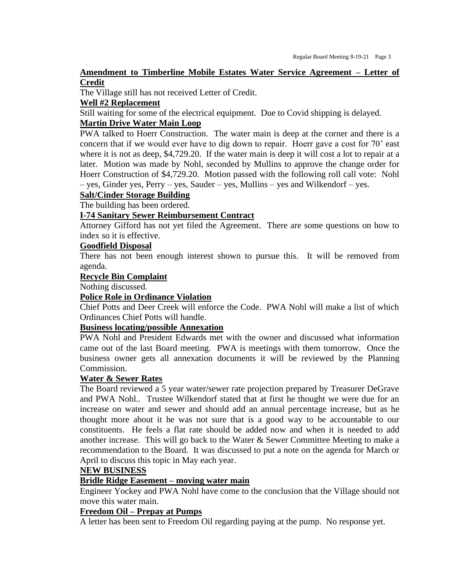#### **Amendment to Timberline Mobile Estates Water Service Agreement – Letter of Credit**

The Village still has not received Letter of Credit.

#### **Well #2 Replacement**

Still waiting for some of the electrical equipment. Due to Covid shipping is delayed.

### **Martin Drive Water Main Loop**

PWA talked to Hoerr Construction. The water main is deep at the corner and there is a concern that if we would ever have to dig down to repair. Hoerr gave a cost for 70' east where it is not as deep, \$4,729.20. If the water main is deep it will cost a lot to repair at a later. Motion was made by Nohl, seconded by Mullins to approve the change order for Hoerr Construction of \$4,729.20. Motion passed with the following roll call vote: Nohl – yes, Ginder yes, Perry – yes, Sauder – yes, Mullins – yes and Wilkendorf – yes.

# **Salt/Cinder Storage Building**

The building has been ordered.

#### **I-74 Sanitary Sewer Reimbursement Contract**

Attorney Gifford has not yet filed the Agreement. There are some questions on how to index so it is effective.

# **Goodfield Disposal**

There has not been enough interest shown to pursue this. It will be removed from agenda.

#### **Recycle Bin Complaint**

Nothing discussed.

### **Police Role in Ordinance Violation**

Chief Potts and Deer Creek will enforce the Code. PWA Nohl will make a list of which Ordinances Chief Potts will handle.

## **Business locating/possible Annexation**

PWA Nohl and President Edwards met with the owner and discussed what information came out of the last Board meeting. PWA is meetings with them tomorrow. Once the business owner gets all annexation documents it will be reviewed by the Planning Commission.

#### **Water & Sewer Rates**

The Board reviewed a 5 year water/sewer rate projection prepared by Treasurer DeGrave and PWA Nohl.. Trustee Wilkendorf stated that at first he thought we were due for an increase on water and sewer and should add an annual percentage increase, but as he thought more about it he was not sure that is a good way to be accountable to our constituents. He feels a flat rate should be added now and when it is needed to add another increase. This will go back to the Water  $\&$  Sewer Committee Meeting to make a recommendation to the Board. It was discussed to put a note on the agenda for March or April to discuss this topic in May each year.

#### **NEW BUSINESS**

## **Bridle Ridge Easement – moving water main**

Engineer Yockey and PWA Nohl have come to the conclusion that the Village should not move this water main.

#### **Freedom Oil – Prepay at Pumps**

A letter has been sent to Freedom Oil regarding paying at the pump. No response yet.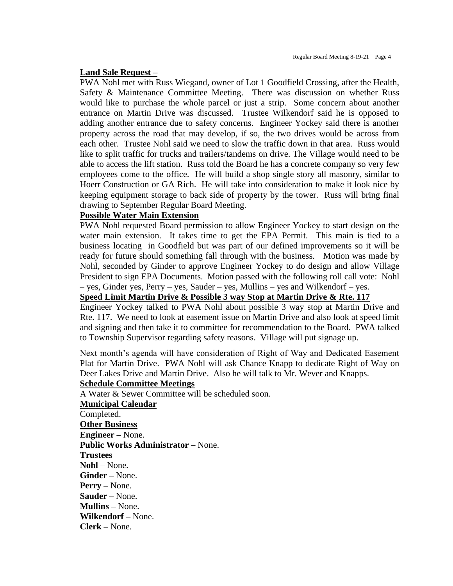#### **Land Sale Request –**

PWA Nohl met with Russ Wiegand, owner of Lot 1 Goodfield Crossing, after the Health, Safety & Maintenance Committee Meeting. There was discussion on whether Russ would like to purchase the whole parcel or just a strip. Some concern about another entrance on Martin Drive was discussed. Trustee Wilkendorf said he is opposed to adding another entrance due to safety concerns. Engineer Yockey said there is another property across the road that may develop, if so, the two drives would be across from each other. Trustee Nohl said we need to slow the traffic down in that area. Russ would like to split traffic for trucks and trailers/tandems on drive. The Village would need to be able to access the lift station. Russ told the Board he has a concrete company so very few employees come to the office. He will build a shop single story all masonry, similar to Hoerr Construction or GA Rich. He will take into consideration to make it look nice by keeping equipment storage to back side of property by the tower. Russ will bring final drawing to September Regular Board Meeting.

#### **Possible Water Main Extension**

PWA Nohl requested Board permission to allow Engineer Yockey to start design on the water main extension. It takes time to get the EPA Permit. This main is tied to a business locating in Goodfield but was part of our defined improvements so it will be ready for future should something fall through with the business. Motion was made by Nohl, seconded by Ginder to approve Engineer Yockey to do design and allow Village President to sign EPA Documents. Motion passed with the following roll call vote: Nohl – yes, Ginder yes, Perry – yes, Sauder – yes, Mullins – yes and Wilkendorf – yes.

# **Speed Limit Martin Drive & Possible 3 way Stop at Martin Drive & Rte. 117**

Engineer Yockey talked to PWA Nohl about possible 3 way stop at Martin Drive and Rte. 117. We need to look at easement issue on Martin Drive and also look at speed limit and signing and then take it to committee for recommendation to the Board. PWA talked to Township Supervisor regarding safety reasons. Village will put signage up.

Next month's agenda will have consideration of Right of Way and Dedicated Easement Plat for Martin Drive. PWA Nohl will ask Chance Knapp to dedicate Right of Way on Deer Lakes Drive and Martin Drive. Also he will talk to Mr. Wever and Knapps.

#### **Schedule Committee Meetings**

A Water & Sewer Committee will be scheduled soon.

#### **Municipal Calendar**

Completed. **Other Business Engineer –** None. **Public Works Administrator –** None. **Trustees Nohl** – None. **Ginder –** None. **Perry –** None. **Sauder –** None. **Mullins –** None. **Wilkendorf –** None. **Clerk –** None.